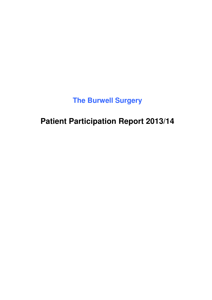**The Burwell Surgery**

**Patient Participation Report 2013/14**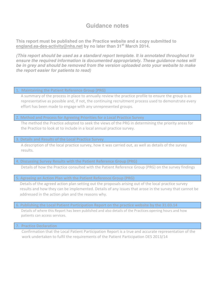# **Guidance notes**

**This report must be published on the Practice website and a copy submitted to england.ea-des-activity@nhs.net by no later than 31st March 2014.**

**(This report should be used as a standard report template. It is annotated throughout to ensure the required information is documented appropriately. These guidance notes will be in grey and should be removed from the version uploaded onto your website to make the report easier for patients to read)** 

#### **1. Maintaining the Patient Reference Group (PRG)**

A summary of the process in place to annually review the practice profile to ensure the group is as representative as possible and, if not, the continuing recruitment process used to demonstrate every effort has been made to engage with any unrepresented groups.

#### **2. Method and Process for Agreeing Priorities for a Local Practice Survey**

 The method the Practice adopted to seek the views of the PRG in determining the priority areas for the Practice to look at to include in a local annual practice survey.

#### **3. Details and Results of the Local Practice Survey**

A description of the local practice survey, how it was carried out, as well as details of the survey results.

#### **4. Discussing Survey Results with the Patient Reference Group (PRG)**

Details of how the Practice consulted with the Patient Reference Group (PRG) on the survey findings

#### **5. Agreeing an Action Plan with the Patient Reference Group (PRG)**

Details of the agreed action plan setting out the proposals arising out of the local practice survey results and how they can be implemented. Details of any issues that arose in the survey that cannot be addressed in the action plan and the reasons why.

## **6. Publishing the Local Patient Participation Report on the practice website by the 31.03.14**

Details of where this Report has been published and also details of the Practices opening hours and how patients can access services.

#### **7. Practice Declaration**

Confirmation that the Local Patient Participation Report is a true and accurate representation of the work undertaken to fulfil the requirements of the Patient Participation DES 2013/14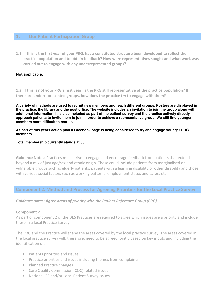**1. Our Patient Participation Group** 

**1.1 If this is the first year of your PRG, has a constituted structure been developed to reflect the practice population and to obtain feedback? How were representatives sought and what work was carried out to engage with any underrepresented groups?** 

## **Not applicable.**

**1.2 If this is not your PRG's first year, is the PRG still representative of the practice population? If there are underrepresented groups, how does the practice try to engage with them?** 

**A variety of methods are used to recruit new members and reach different groups. Posters are displayed in the practice, the library and the post office. The website includes an invitation to join the group along with additional information. It is also included as part of the patient survey and the practice actively directly approach patients to invite them to join in order to achieve a representative group. We still find younger members more difficult to recruit.** 

**As part of this years action plan a Facebook page is being considered to try and engage younger PRG members.** 

**Total membership currently stands at 56.** 

**Guidance Notes:** Practices must strive to engage and encourage feedback from patients that extend beyond a mix of just age/sex and ethnic origin. These could include patients from marginalised or vulnerable groups such as elderly patients, patients with a learning disability or other disability and those with various social factors such as working patterns, employment status and carers etc.

**Component 2. Method and Process for Agreeing Priorities for the Local Practice Survey** 

*Guidance notes: Agree areas of priority with the Patient Reference Group (PRG)* 

#### **Component 2**

As part of component 2 of the DES Practices are required to agree which issues are a priority and include these in a local Practice Survey.

The PRG and the Practice will shape the areas covered by the local practice survey. The areas covered in the local practice survey will, therefore, need to be agreed jointly based on key inputs and including the identification of:

- Patients priorities and issues
- Practice priorities and issues including themes from complaints
- Planned Practice changes
- Care Quality Commission (CQC) related issues
- National GP and/or Local Patient Survey issues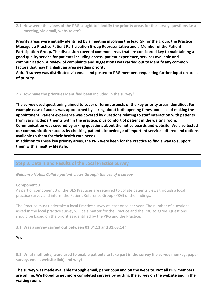**2.1 How were the views of the PRG sought to identify the priority areas for the survey questions i.e a meeting, via email, website etc?** 

**Priority areas were initially identified by a meeting involving the lead GP for the group, the Practice Manager, a Practice Patient Participation Group Representative and a Member of the Patient Participation Group. The discussion covered common areas that are considered key to maintaining a good quality service for patients including access, patient experience, services available and communication. A review of complaints and suggestions was carried out to identify any common factors that may highlight an area needing priority.** 

**A draft survey was distributed via email and posted to PRG members requesting further input on areas of priority.** 

## **2.2 How have the priorities identified been included in the survey?**

**The survey used questioning aimed to cover different aspects of the key priority areas identified. For example ease of access was approached by asking about both opening times and ease of making the appointment. Patient experience was covered by questions relating to staff interaction with patients from varying departments within the practice, plus comfort of patient in the waiting room.** 

**Communication was covered by asking questions about the notice boards and website. We also tested our communication success by checking patient's knowledge of important services offered and options available to them for their health care needs.** 

**In addition to these key priority areas, the PRG were keen for the Practice to find a way to support them with a healthy lifestyle.** 

## **Step 3. Details and Results of the Local Practice Survey**

*Guidance Notes: Collate patient views through the use of a survey* 

#### **Component 3**

As part of component 3 of the DES Practices are required to collate patients views through a local practice survey and inform the Patient Reference Group (PRG) of the findings.

The Practice must undertake a local Practice survey at least once per year. The number of questions asked in the local practice survey will be a matter for the Practice and the PRG to agree. Questions should be based on the priorities identified by the PRG and the Practice.

**3.1 Was a survey carried out between 01.04.13 and 31.03.14?** 

**Yes** 

**3.2 What method(s) were used to enable patients to take part in the survey (i.e survey monkey, paper survey, email, website link) and why?** 

**The survey was made available through email, paper copy and on the website. Not all PRG members are online. We hoped to get more completed surveys by putting the survey on the website and in the waiting room.**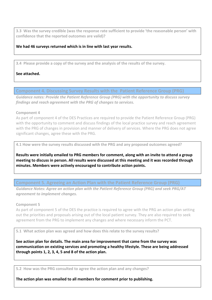**3.3 Was the survey credible (was the response rate sufficient to provide 'the reasonable person' with confidence that the reported outcomes are valid)?** 

## **We had 46 surveys returned which is in line with last year results.**

**3.4 Please provide a copy of the survey and the analysis of the results of the survey.** 

# **See attached.**

**Component 4. Discussing Survey Results with the Patient Reference Group (PRG)** 

*Guidance notes: Provide the Patient Reference Group (PRG) with the opportunity to discuss survey findings and reach agreement with the PRG of changes to services.* 

## **Component 4**

As part of component 4 of the DES Practices are required to provide the Patient Reference Group (PRG) with the opportunity to comment and discuss findings of the local practice survey and reach agreement with the PRG of changes in provision and manner of delivery of services. Where the PRG does not agree significant changes, agree these with the PRG.

**4.1 How were the survey results discussed with the PRG and any proposed outcomes agreed?** 

**Results were initially emailed to PRG members for comment, along with an invite to attend a group meeting to discuss in person. All results were discussed at this meeting and it was recorded through minutes. Members were actively encouraged to contribute action points.** 

**Component 5. Agreeing an Action Plan with the Patient Reference Group (PRG)** 

*Guidance Notes: Agree an action plan with the Patient Reference Group (PRG) and seek PRG/AT agreement to implement changes.* 

#### **Component 5**

As part of component 5 of the DES the practice is required to agree with the PRG an action plan setting out the priorities and proposals arising out of the local patient survey. They are also required to seek agreement from the PRG to implement any changes and where necessary inform the PCT.

**5.1 What action plan was agreed and how does this relate to the survey results?** 

**See action plan for details. The main area for improvement that came from the survey was communication on existing services and promoting a healthy lifestyle. These are being addressed through points 1, 2, 3, 4, 5 and 8 of the action plan.** 

**5.2 How was the PRG consulted to agree the action plan and any changes?** 

**The action plan was emailed to all members for comment prior to publishing.**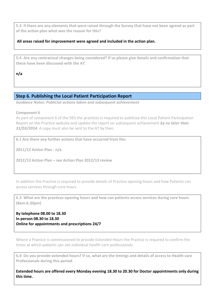**5.3 If there are any elements that were raised through the Survey that have not been agreed as part of the action plan what was the reason for this?** 

## **All areas raised for improvement were agreed and included in the action plan.**

**5.4 Are any contractual changes being considered? If so please give details and confirmation that these have been discussed with the AT.** 

**n/a** 

# **Step 6. Publishing the Local Patient Participation Report**

*Guidance Notes: Publicise actions taken and subsequent achievement* 

**Component 6** 

As part of component 6 of the DES the practices is required to publicise this Local Patient Participation Report on the Practice website and update the report on subsequent achievement *by no later than 31/03/2014*. A copy must also be sent to the AT by then.

**6.1 Are there any further actions that have occurred from the:** 

**2011/12 Action Plan - n/a** 

**2012/13 Action Plan – see Action Plan 2012/13 review**

In addition the Practice is required to provide details of Practice opening hours and how Patients can access services through core hours

**6.3 What are the practices opening hours and how can patients access services during core hours (8am-6.30pm)** 

**By telephone 08.00 to 18.30 In person 08.30 to 18.30 Online for appointments and prescriptions 24/7** 

Where a Practice is commissioned to provide Extended Hours the Practice is required to confirm the times at which patients can see individual health care professionals

**6.4 Do you provide extended hours? If so, what are the timings and details of access to Health care Professionals during this period.** 

**Extended hours are offered every Monday evening 18.30 to 20.30 for Doctor appointments only during this time.**